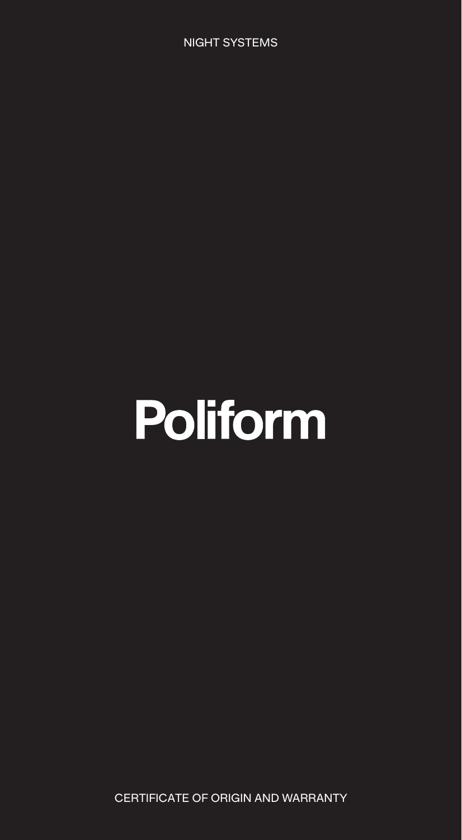NIGHT SYSTEMS

# **Poliform**

CERTIFICATE OF ORIGIN AND WARRANTY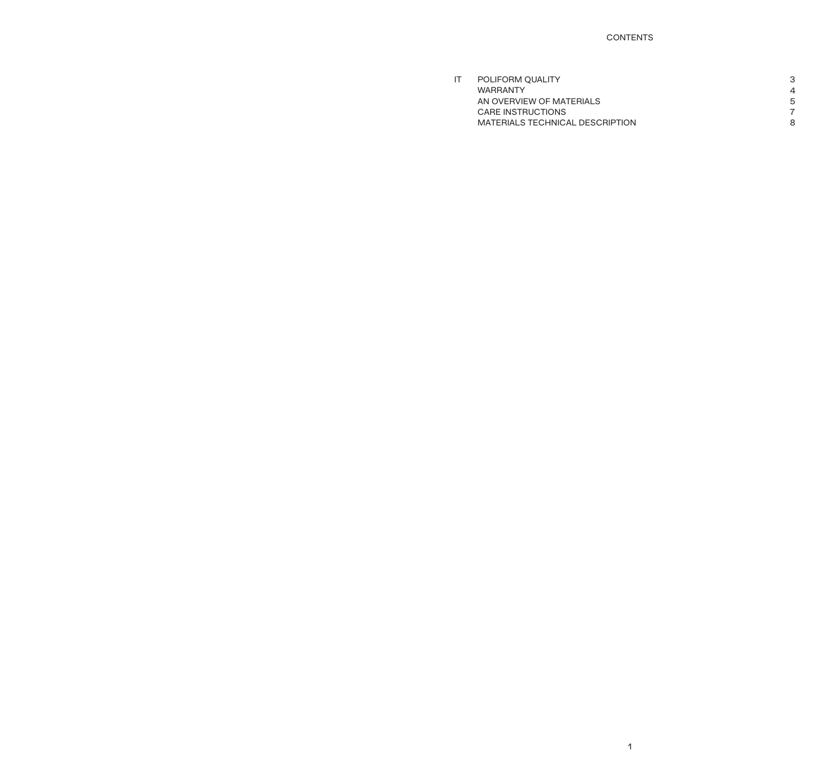# CONTENTS

| IT | POLIFORM OUALITY                |   |
|----|---------------------------------|---|
|    | <b>WARRANTY</b>                 | 4 |
|    | AN OVERVIEW OF MATERIALS        | 5 |
|    | CARE INSTRUCTIONS               |   |
|    | MATERIALS TECHNICAL DESCRIPTION | 8 |
|    |                                 |   |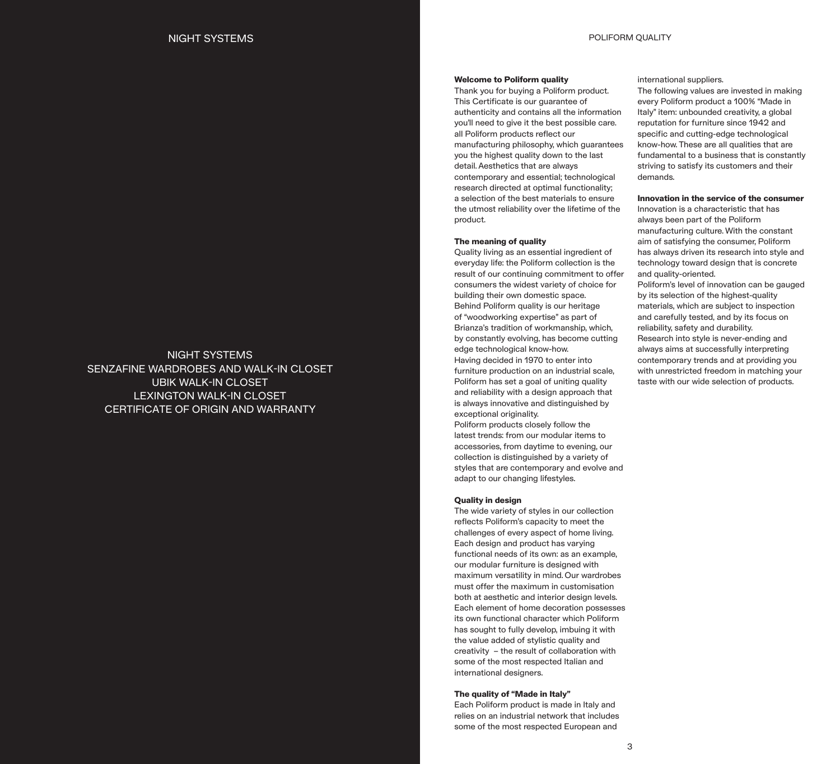# NIGHT SYSTEMS SENZAFINE WARDROBES AND WALK-IN CLOSET UBIK WALK-IN CLOSET LEXINGTON WALK-IN CLOSET CERTIFICATE OF ORIGIN AND WARRANTY

## **Welcome to Poliform quality**

Thank you for buying a Poliform product. This Certificate is our guarantee of authenticity and contains all the information you'll need to give it the best possible care. all Poliform products reflect our manufacturing philosophy, which guarantees you the highest quality down to the last detail. Aesthetics that are always contemporary and essential; technological research directed at optimal functionality; a selection of the best materials to ensure the utmost reliability over the lifetime of the product.

#### **The meaning of quality**

Quality living as an essential ingredient of everyday life: the Poliform collection is the result of our continuing commitment to offer consumers the widest variety of choice for building their own domestic space. Behind Poliform quality is our heritage of "woodworking expertise" as part of Brianza's tradition of workmanship, which, by constantly evolving, has become cutting edge technological know-how. Having decided in 1970 to enter into furniture production on an industrial scale, Poliform has set a goal of uniting quality and reliability with a design approach that is always innovative and distinguished by exceptional originality.

Poliform products closely follow the latest trends: from our modular items to accessories, from daytime to evening, our collection is distinguished by a variety of styles that are contemporary and evolve and adapt to our changing lifestyles.

#### **Quality in design**

The wide variety of styles in our collection reflects Poliform's capacity to meet the challenges of every aspect of home living. Each design and product has varying functional needs of its own: as an example, our modular furniture is designed with maximum versatility in mind. Our wardrobes must offer the maximum in customisation both at aesthetic and interior design levels. Each element of home decoration possesses its own functional character which Poliform has sought to fully develop, imbuing it with the value added of stylistic quality and creativity – the result of collaboration with some of the most respected Italian and international designers.

#### **The quality of "Made in Italy"**

Each Poliform product is made in Italy and relies on an industrial network that includes some of the most respected European and

#### international suppliers.

The following values are invested in making every Poliform product a 100% "Made in Italy" item: unbounded creativity, a global reputation for furniture since 1942 and specific and cutting-edge technological know-how. These are all qualities that are fundamental to a business that is constantly striving to satisfy its customers and their demands.

#### **Innovation in the service of the consumer**

Innovation is a characteristic that has always been part of the Poliform manufacturing culture. With the constant aim of satisfying the consumer, Poliform has always driven its research into style and technology toward design that is concrete and quality-oriented.

Poliform's level of innovation can be gauged by its selection of the highest-quality materials, which are subject to inspection and carefully tested, and by its focus on reliability, safety and durability. Research into style is never-ending and always aims at successfully interpreting contemporary trends and at providing you

with unrestricted freedom in matching your taste with our wide selection of products.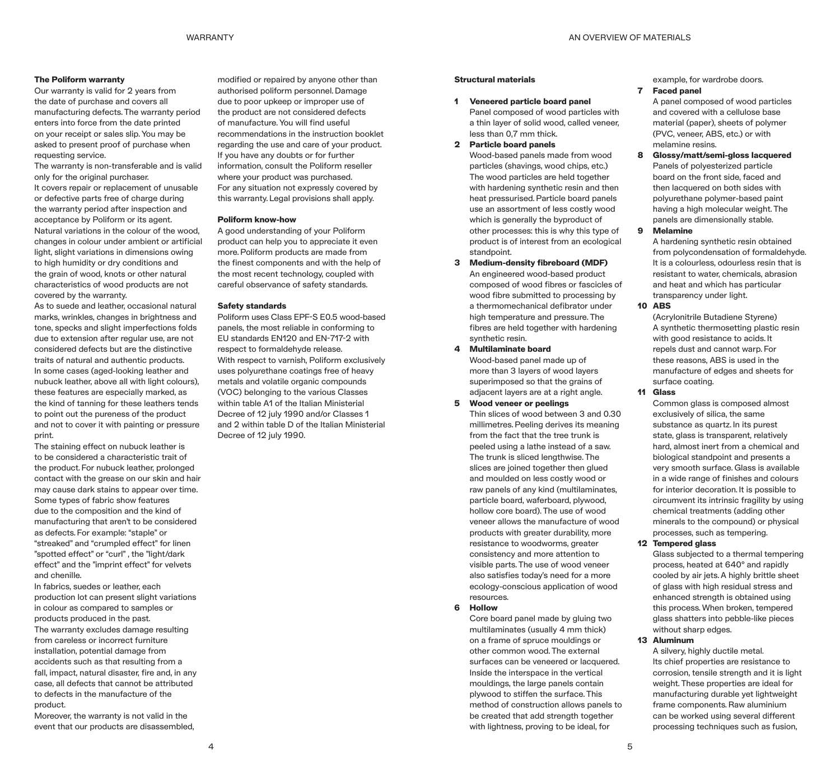# **The Poliform warranty**

Our warranty is valid for 2 years from the date of purchase and covers all manufacturing defects. The warranty period enters into force from the date printed on your receipt or sales slip. You may be asked to present proof of purchase when requesting service.

The warranty is non-transferable and is valid only for the original purchaser.

It covers repair or replacement of unusable or defective parts free of charge during the warranty period after inspection and acceptance by Poliform or its agent. Natural variations in the colour of the wood, changes in colour under ambient or artificial light, slight variations in dimensions owing to high humidity or dry conditions and the grain of wood, knots or other natural characteristics of wood products are not covered by the warranty.

As to suede and leather, occasional natural marks, wrinkles, changes in brightness and tone, specks and slight imperfections folds due to extension after regular use, are not considered defects but are the distinctive traits of natural and authentic products. In some cases (aged-looking leather and nubuck leather, above all with light colours), these features are especially marked, as the kind of tanning for these leathers tends to point out the pureness of the product and not to cover it with painting or pressure print.

The staining effect on nubuck leather is to be considered a characteristic trait of the product. For nubuck leather, prolonged contact with the grease on our skin and hair may cause dark stains to appear over time. Some types of fabric show features due to the composition and the kind of manufacturing that aren't to be considered as defects. For example: "staple" or "streaked" and "crumpled effect" for linen "spotted effect" or "curl" , the "light/dark effect" and the "imprint effect" for velvets and chenille.

In fabrics, suedes or leather, each production lot can present slight variations in colour as compared to samples or products produced in the past.

The warranty excludes damage resulting from careless or incorrect furniture installation, potential damage from accidents such as that resulting from a fall, impact, natural disaster, fire and, in any case, all defects that cannot be attributed to defects in the manufacture of the product.

Moreover, the warranty is not valid in the event that our products are disassembled,

modified or repaired by anyone other than authorised poliform personnel. Damage due to poor upkeep or improper use of the product are not considered defects of manufacture. You will find useful recommendations in the instruction booklet regarding the use and care of your product. If you have any doubts or for further information, consult the Poliform reseller where your product was purchased. For any situation not expressly covered by this warranty. Legal provisions shall apply.

#### **Poliform know-how**

A good understanding of your Poliform product can help you to appreciate it even more. Poliform products are made from the finest components and with the help of the most recent technology, coupled with careful observance of safety standards.

#### **Safety standards**

Poliform uses Class EPF-S E0.5 wood-based panels, the most reliable in conforming to EU standards EN120 and EN-717-2 with respect to formaldehyde release. With respect to varnish, Poliform exclusively uses polyurethane coatings free of heavy metals and volatile organic compounds (VOC) belonging to the various Classes within table A1 of the Italian Ministerial Decree of 12 july 1990 and/or Classes 1 and 2 within table D of the Italian Ministerial Decree of 12 july 1990.

# **Structural materials**

#### **1 Veneered particle board panel**

Panel composed of wood particles with a thin layer of solid wood, called veneer, less than 0,7 mm thick.

**2 Particle board panels**

Wood-based panels made from wood particles (shavings, wood chips, etc.) The wood particles are held together with hardening synthetic resin and then heat pressurised. Particle board panels use an assortment of less costly wood which is generally the byproduct of other processes: this is why this type of product is of interest from an ecological standpoint.

- **3 Medium-density fibreboard (MDF)** An engineered wood-based product composed of wood fibres or fascicles of wood fibre submitted to processing by a thermomechanical defibrator under high temperature and pressure. The fibres are held together with hardening
- synthetic resin. **4 Multilaminate board**

Wood-based panel made up of more than 3 layers of wood layers superimposed so that the grains of adjacent layers are at a right angle.

# **5 Wood veneer or peelings**

Thin slices of wood between 3 and 0.30 millimetres. Peeling derives its meaning from the fact that the tree trunk is peeled using a lathe instead of a saw. The trunk is sliced lengthwise. The slices are joined together then glued and moulded on less costly wood or raw panels of any kind (multilaminates, particle board, waferboard, plywood, hollow core board). The use of wood veneer allows the manufacture of wood products with greater durability, more resistance to woodworms, greater consistency and more attention to visible parts. The use of wood veneer also satisfies today's need for a more ecology-conscious application of wood resources.

#### **6 Hollow**

Core board panel made by gluing two multilaminates (usually 4 mm thick) on a frame of spruce mouldings or other common wood. The external surfaces can be veneered or lacquered. Inside the interspace in the vertical mouldings, the large panels contain plywood to stiffen the surface. This method of construction allows panels to be created that add strength together with lightness, proving to be ideal, for

example, for wardrobe doors.

# **7 Faced panel**

A panel composed of wood particles and covered with a cellulose base material (paper), sheets of polymer (PVC, veneer, ABS, etc.) or with melamine resins.

- **8 Glossy/matt/semi-gloss lacquered** Panels of polyesterized particle board on the front side, faced and then lacquered on both sides with polyurethane polymer-based paint having a high molecular weight. The panels are dimensionally stable.
- **9 Melamine**

A hardening synthetic resin obtained from polycondensation of formaldehyde. It is a colourless, odourless resin that is resistant to water, chemicals, abrasion and heat and which has particular transparency under light.

**10 ABS**

(Acrylonitrile Butadiene Styrene) A synthetic thermosetting plastic resin with good resistance to acids. It repels dust and cannot warp. For these reasons, ABS is used in the manufacture of edges and sheets for surface coating.

## **11 Glass**

Common glass is composed almost exclusively of silica, the same substance as quartz. In its purest state, glass is transparent, relatively hard, almost inert from a chemical and biological standpoint and presents a very smooth surface. Glass is available in a wide range of finishes and colours for interior decoration. It is possible to circumvent its intrinsic fragility by using chemical treatments (adding other minerals to the compound) or physical processes, such as tempering.

#### **12 Tempered glass**

Glass subjected to a thermal tempering process, heated at 640° and rapidly cooled by air jets. A highly brittle sheet of glass with high residual stress and enhanced strength is obtained using this process. When broken, tempered glass shatters into pebble-like pieces without sharp edges.

#### **13 Aluminum**

A silvery, highly ductile metal. Its chief properties are resistance to corrosion, tensile strength and it is light weight. These properties are ideal for manufacturing durable yet lightweight frame components. Raw aluminium can be worked using several different processing techniques such as fusion,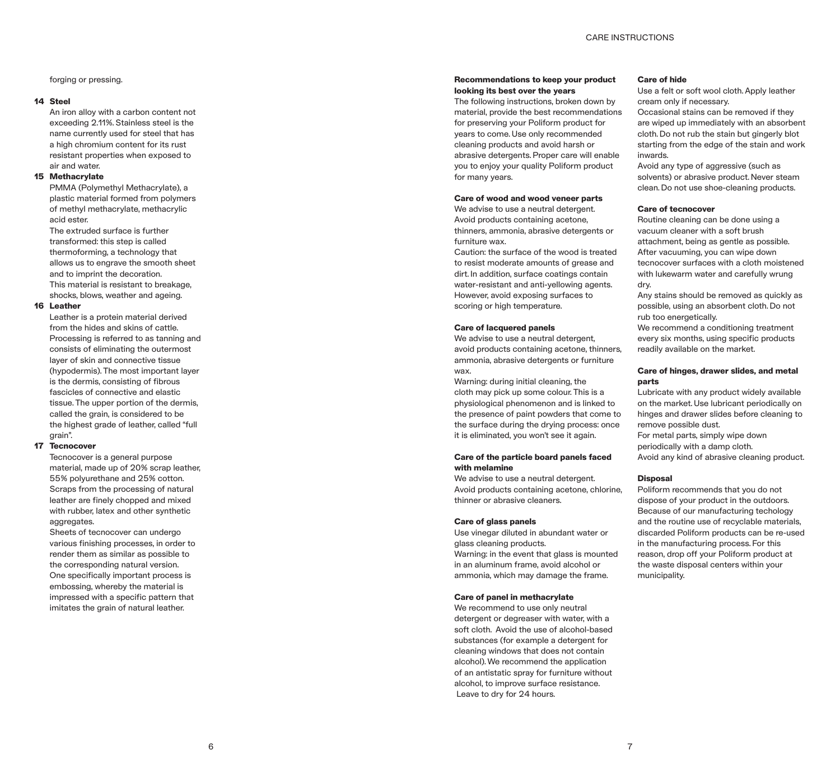forging or pressing.

#### **14 Steel**

An iron alloy with a carbon content not exceeding 2.11%. Stainless steel is the name currently used for steel that has a high chromium content for its rust resistant properties when exposed to air and water.

#### **15 Methacrylate**

PMMA (Polymethyl Methacrylate), a plastic material formed from polymers of methyl methacrylate, methacrylic acid ester.

The extruded surface is further transformed: this step is called thermoforming, a technology that allows us to engrave the smooth sheet and to imprint the decoration. This material is resistant to breakage, shocks, blows, weather and ageing.

#### **16 Leather**

Leather is a protein material derived from the hides and skins of cattle. Processing is referred to as tanning and consists of eliminating the outermost layer of skin and connective tissue (hypodermis). The most important layer is the dermis, consisting of fibrous fascicles of connective and elastic tissue. The upper portion of the dermis, called the grain, is considered to be the highest grade of leather, called "full grain".

#### **17 Tecnocover**

Tecnocover is a general purpose material, made up of 20% scrap leather, 55% polyurethane and 25% cotton. Scraps from the processing of natural leather are finely chopped and mixed with rubber, latex and other synthetic aggregates.

Sheets of tecnocover can undergo various finishing processes, in order to render them as similar as possible to the corresponding natural version. One specifically important process is embossing, whereby the material is impressed with a specific pattern that imitates the grain of natural leather.

#### **Recommendations to keep your product looking its best over the years**

The following instructions, broken down by material, provide the best recommendations for preserving your Poliform product for years to come. Use only recommended cleaning products and avoid harsh or abrasive detergents. Proper care will enable you to enjoy your quality Poliform product for many years.

#### **Care of wood and wood veneer parts**

We advise to use a neutral detergent. Avoid products containing acetone, thinners, ammonia, abrasive detergents or furniture wax.

Caution: the surface of the wood is treated to resist moderate amounts of grease and dirt. In addition, surface coatings contain water-resistant and anti-yellowing agents. However, avoid exposing surfaces to scoring or high temperature.

#### **Care of lacquered panels**

We advise to use a neutral detergent, avoid products containing acetone, thinners, ammonia, abrasive detergents or furniture wax.

Warning: during initial cleaning, the cloth may pick up some colour. This is a physiological phenomenon and is linked to the presence of paint powders that come to the surface during the drying process: once it is eliminated, you won't see it again.

#### **Care of the particle board panels faced with melamine**

We advise to use a neutral detergent. Avoid products containing acetone, chlorine, thinner or abrasive cleaners.

#### **Care of glass panels**

Use vinegar diluted in abundant water or glass cleaning products. Warning: in the event that glass is mounted in an aluminum frame, avoid alcohol or ammonia, which may damage the frame.

#### **Care of panel in methacrylate**

We recommend to use only neutral detergent or degreaser with water, with a soft cloth. Avoid the use of alcohol-based substances (for example a detergent for cleaning windows that does not contain alcohol). We recommend the application of an antistatic spray for furniture without alcohol, to improve surface resistance. Leave to dry for 24 hours.

#### **Care of hide**

Use a felt or soft wool cloth. Apply leather cream only if necessary.

Occasional stains can be removed if they are wiped up immediately with an absorbent cloth. Do not rub the stain but gingerly blot starting from the edge of the stain and work inwards.

Avoid any type of aggressive (such as solvents) or abrasive product. Never steam clean. Do not use shoe-cleaning products.

#### **Care of tecnocover**

Routine cleaning can be done using a vacuum cleaner with a soft brush attachment, being as gentle as possible. After vacuuming, you can wipe down tecnocover surfaces with a cloth moistened with lukewarm water and carefully wrung dry.

Any stains should be removed as quickly as possible, using an absorbent cloth. Do not rub too energetically.

We recommend a conditioning treatment every six months, using specific products readily available on the market.

#### **Care of hinges, drawer slides, and metal parts**

Lubricate with any product widely available on the market. Use lubricant periodically on hinges and drawer slides before cleaning to remove possible dust. For metal parts, simply wipe down periodically with a damp cloth.

Avoid any kind of abrasive cleaning product.

# **Disposal**

Poliform recommends that you do not dispose of your product in the outdoors. Because of our manufacturing techology and the routine use of recyclable materials, discarded Poliform products can be re-used in the manufacturing process. For this reason, drop off your Poliform product at the waste disposal centers within your municipality.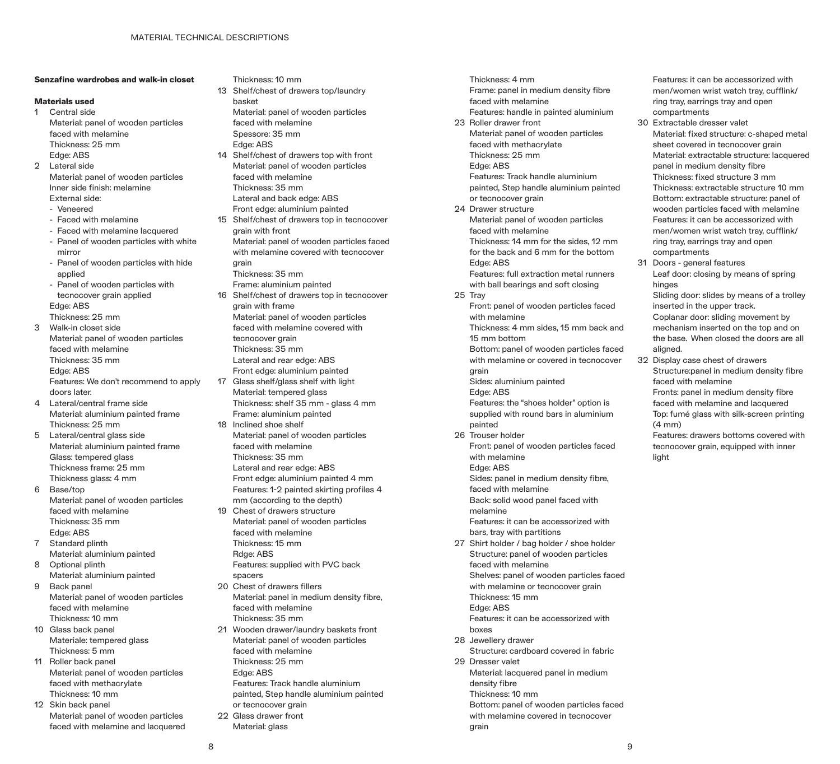## **Senzafine wardrobes and walk-in closet**

#### **Materials used**

- 1 Central side Material: panel of wooden particles faced with melamine Thickness: 25 mm Edge: ABS
- 2 Lateral side Material: panel of wooden particles Inner side finish: melamine
	- External side: - Veneered
	-
	- Faced with melamine - Faced with melamine lacquered
	- Panel of wooden particles with white mirror
	- Panel of wooden particles with hide applied
	- Panel of wooden particles with tecnocover grain applied Edge: ABS
- Thickness: 25 mm 3 Walk-in closet side Material: panel of wooden particles faced with melamine Thickness: 35 mm Edge: ABS
	- Features: We don't recommend to apply doors later.
- 4 Lateral/central frame side Material: aluminium painted frame Thickness: 25 mm
- 5 Lateral/central glass side Material: aluminium painted frame Glass: tempered glass Thickness frame: 25 mm Thickness glass: 4 mm
- 6 Base/top Material: panel of wooden particles faced with melamine Thickness: 35 mm Edge: ABS
- 7 Standard plinth Material: aluminium painted
- 8 Optional plinth Material: aluminium painted 9 Back panel
- Material: panel of wooden particles faced with melamine Thickness: 10 mm
- 10 Glass back panel Materiale: tempered glass Thickness: 5 mm
- 11 Roller back panel Material: panel of wooden particles faced with methacrylate Thickness: 10 mm
- 12 Skin back panel Material: panel of wooden particles faced with melamine and lacquered
- Thickness: 10 mm
- 13 Shelf/chest of drawers top/laundry basket Material: panel of wooden particles
	- faced with melamine Spessore: 35 mm
- Edge: ABS 14 Shelf/chest of drawers top with front Material: panel of wooden particles faced with melamine Thickness: 35 mm
- Lateral and back edge: ABS Front edge: aluminium painted
- 15 Shelf/chest of drawers top in tecnocover grain with front Material: panel of wooden particles faced
	- with melamine covered with tecnocover grain
- Thickness: 35 mm
- Frame: aluminium painted 16 Shelf/chest of drawers top in tecnocover grain with frame Material: panel of wooden particles faced with melamine covered with tecnocover grain Thickness: 35 mm Lateral and rear edge: ABS
	- Front edge: aluminium painted
- 17 Glass shelf/glass shelf with light Material: tempered glass Thickness: shelf 35 mm - glass 4 mm Frame: aluminium painted
- 18 Inclined shoe shelf Material: panel of wooden particles faced with melamine Thickness: 35 mm Lateral and rear edge: ABS Front edge: aluminium painted 4 mm
- Features: 1-2 painted skirting profiles 4 mm (according to the depth) 19 Chest of drawers structure
- Material: panel of wooden particles faced with melamine Thickness: 15 mm Rdge: ABS Features: supplied with PVC back
- spacers 20 Chest of drawers fillers Material: panel in medium density fibre, faced with melamine Thickness: 35 mm
- 21 Wooden drawer/laundry baskets front Material: panel of wooden particles faced with melamine Thickness: 25 mm Edge: ABS Features: Track handle aluminium
	- painted, Step handle aluminium painted or tecnocover grain
- 22 Glass drawer front
	- Material: glass
- Thickness: 4 mm Frame: panel in medium density fibre faced with melamine Features: handle in painted aluminium 23 Roller drawer front Material: panel of wooden particles faced with methacrylate Thickness: 25 mm Edge: ABS Features: Track handle aluminium painted, Step handle aluminium painted or tecnocover grain 24 Drawer structure Material: panel of wooden particles faced with melamine Thickness: 14 mm for the sides, 12 mm for the back and 6 mm for the bottom Edge: ABS Features: full extraction metal runners with ball bearings and soft closing 25 Tray Front: panel of wooden particles faced with melamine Thickness: 4 mm sides, 15 mm back and 15 mm bottom Bottom: panel of wooden particles faced with melamine or covered in tecnocover grain Sides: aluminium painted Edge: ABS Features: the "shoes holder" option is supplied with round bars in aluminium painted 26 Trouser holder Front: panel of wooden particles faced with melamine Edge: ABS Sides: panel in medium density fibre, faced with melamine Back: solid wood panel faced with melamine Features: it can be accessorized with bars, tray with partitions 27 Shirt holder / bag holder / shoe holder Structure: panel of wooden particles faced with melamine Shelves: panel of wooden particles faced with melamine or tecnocover grain Thickness: 15 mm Edge: ABS Features: it can be accessorized with boxes 28 Jewellery drawer
- Structure: cardboard covered in fabric 29 Dresser valet Material: lacquered panel in medium
	- density fibre Thickness: 10 mm
	- Bottom: panel of wooden particles faced with melamine covered in tecnocover grain

Features: it can be accessorized with men/women wrist watch tray, cufflink/ ring tray, earrings tray and open compartments

- 30 Extractable dresser valet Material: fixed structure: c-shaped metal sheet covered in tecnocover grain Material: extractable structure: lacquered panel in medium density fibre Thickness: fixed structure 3 mm Thickness: extractable structure 10 mm Bottom: extractable structure: panel of wooden particles faced with melamine Features: it can be accessorized with men/women wrist watch tray, cufflink/ ring tray, earrings tray and open compartments
- 31 Doors general features Leaf door: closing by means of spring hinges

Sliding door: slides by means of a trolley inserted in the upper track. Coplanar door: sliding movement by

mechanism inserted on the top and on the base. When closed the doors are all aligned.

32 Display case chest of drawers Structure:panel in medium density fibre faced with melamine Fronts: panel in medium density fibre faced with melamine and lacquered

Top: fumé glass with silk-screen printing  $(4 \text{ mm})$ 

Features: drawers bottoms covered with tecnocover grain, equipped with inner light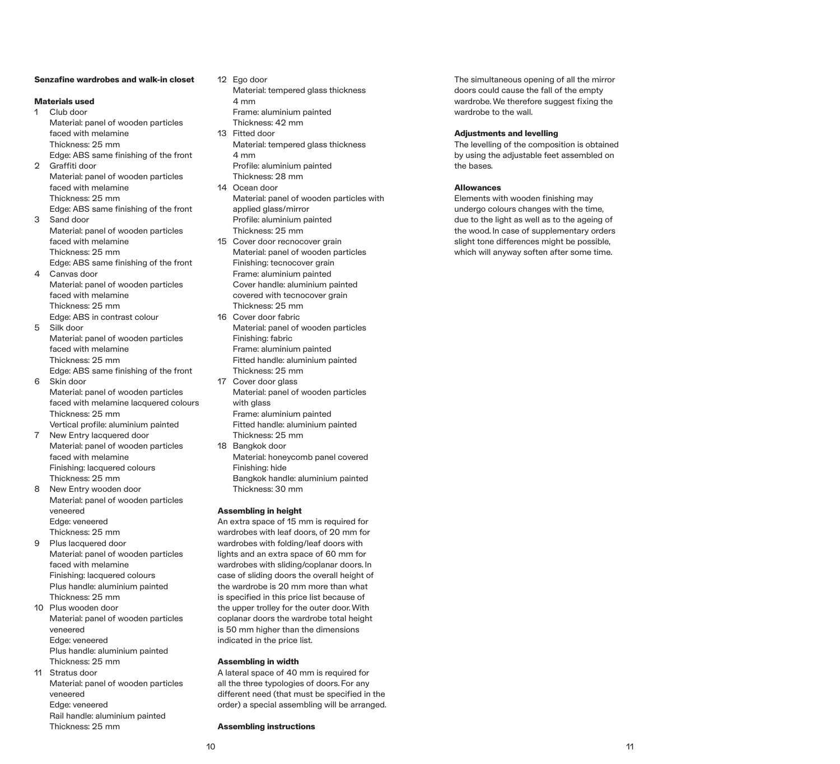#### **Senzafine wardrobes and walk-in closet**

#### **Materials used**

- 1 Club door Material: panel of wooden particles faced with melamine Thickness: 25 mm Edge: ABS same finishing of the front 2 Graffiti door Material: panel of wooden particles
- faced with melamine Thickness: 25 mm Edge: ABS same finishing of the front 3 Sand door
- Material: panel of wooden particles faced with melamine Thickness: 25 mm Edge: ABS same finishing of the front
- 4 Canvas door Material: panel of wooden particles faced with melamine Thickness: 25 mm
- Edge: ABS in contrast colour 5 Silk door Material: panel of wooden particles faced with melamine Thickness: 25 mm Edge: ABS same finishing of the front 6 Skin door
- Material: panel of wooden particles faced with melamine lacquered colours Thickness: 25 mm Vertical profile: aluminium painted
- 7 New Entry lacquered door Material: panel of wooden particles faced with melamine Finishing: lacquered colours Thickness: 25 mm
- 8 New Entry wooden door Material: panel of wooden particles veneered Edge: veneered Thickness: 25 mm
- 9 Plus lacquered door Material: panel of wooden particles faced with melamine Finishing: lacquered colours Plus handle: aluminium painted Thickness: 25 mm
- 10 Plus wooden door Material: panel of wooden particles veneered Edge: veneered Plus handle: aluminium painted Thickness: 25 mm
- 11 Stratus door Material: panel of wooden particles veneered Edge: veneered Rail handle: aluminium painted Thickness: 25 mm
- 12 Ego door Material: tempered glass thickness 4 mm Frame: aluminium painted Thickness: 42 mm
- 13 Fitted door Material: tempered glass thickness 4 mm Profile: aluminium painted
- Thickness: 28 mm 14 Ocean door
- Material: panel of wooden particles with applied glass/mirror Profile: aluminium painted Thickness: 25 mm
- 15 Cover door recnocover grain Material: panel of wooden particles Finishing: tecnocover grain Frame: aluminium painted Cover handle: aluminium painted covered with tecnocover grain
- Thickness: 25 mm 16 Cover door fabric Material: panel of wooden particles Finishing: fabric Frame: aluminium painted
- Fitted handle: aluminium painted Thickness: 25 mm
- 17 Cover door glass Material: panel of wooden particles with glass Frame: aluminium painted Fitted handle: aluminium painted
- Thickness: 25 mm 18 Bangkok door
- Material: honeycomb panel covered Finishing: hide Bangkok handle: aluminium painted Thickness: 30 mm

#### **Assembling in height**

An extra space of 15 mm is required for wardrobes with leaf doors, of 20 mm for wardrobes with folding/leaf doors with lights and an extra space of 60 mm for wardrobes with sliding/coplanar doors. In case of sliding doors the overall height of the wardrobe is 20 mm more than what is specified in this price list because of the upper trolley for the outer door. With coplanar doors the wardrobe total height is 50 mm higher than the dimensions indicated in the price list.

#### **Assembling in width**

A lateral space of 40 mm is required for all the three typologies of doors. For any different need (that must be specified in the order) a special assembling will be arranged.

#### **Assembling instructions**

The simultaneous opening of all the mirror doors could cause the fall of the empty wardrobe. We therefore suggest fixing the wardrobe to the wall.

# **Adjustments and levelling**

The levelling of the composition is obtained by using the adjustable feet assembled on the bases.

#### **Allowances**

Elements with wooden finishing may undergo colours changes with the time, due to the light as well as to the ageing of the wood. In case of supplementary orders slight tone differences might be possible, which will anyway soften after some time.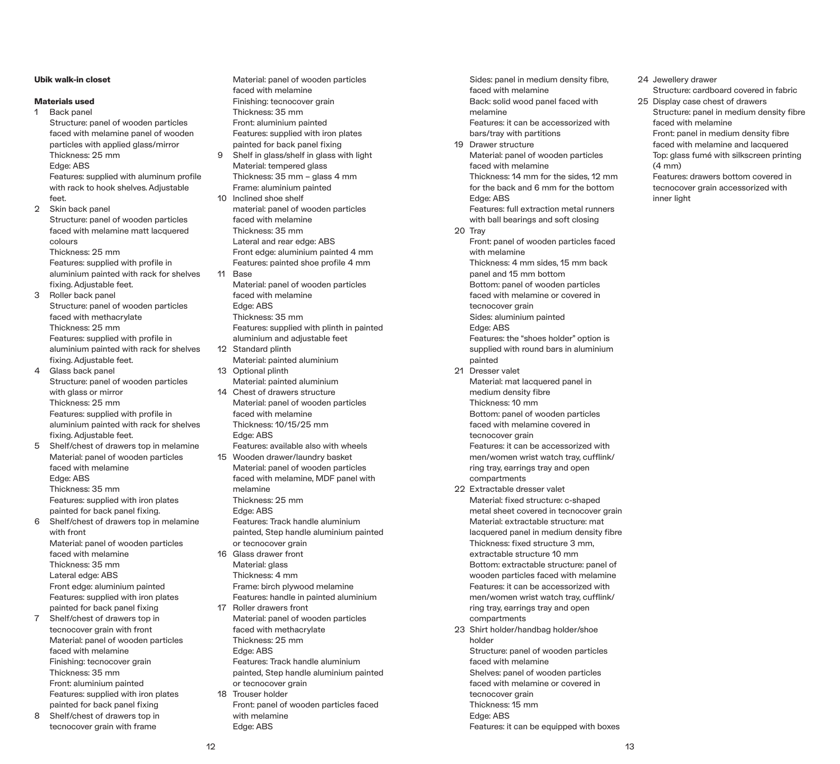# **Ubik walk-in closet**

#### **Materials used**

1 Back panel

Structure: panel of wooden particles faced with melamine panel of wooden particles with applied glass/mirror Thickness: 25 mm Edge: ABS Features: supplied with aluminum profile with rack to hook shelves. Adjustable

feet. 2 Skin back panel Structure: panel of wooden particles faced with melamine matt lacquered

colours Thickness: 25 mm Features: supplied with profile in aluminium painted with rack for shelves

fixing. Adjustable feet. 3 Roller back panel Structure: panel of wooden particles

faced with methacrylate Thickness: 25 mm Features: supplied with profile in aluminium painted with rack for shelves fixing. Adjustable feet.

- 4 Glass back panel Structure: panel of wooden particles with glass or mirror Thickness: 25 mm Features: supplied with profile in aluminium painted with rack for shelves fixing. Adjustable feet.
- 5 Shelf/chest of drawers top in melamine Material: panel of wooden particles faced with melamine Edge: ABS Thickness: 35 mm Features: supplied with iron plates painted for back panel fixing. 6 Shelf/chest of drawers top in melamine with front

Material: panel of wooden particles faced with melamine Thickness: 35 mm Lateral edge: ABS Front edge: aluminium painted Features: supplied with iron plates

- painted for back panel fixing 7 Shelf/chest of drawers top in tecnocover grain with front Material: panel of wooden particles faced with melamine Finishing: tecnocover grain Thickness: 35 mm Front: aluminium painted Features: supplied with iron plates painted for back panel fixing 8 Shelf/chest of drawers top in
- tecnocover grain with frame

Material: panel of wooden particles faced with melamine Finishing: tecnocover grain Thickness: 35 mm Front: aluminium painted Features: supplied with iron plates painted for back panel fixing 9 Shelf in glass/shelf in glass with light Material: tempered glass Thickness: 35 mm – glass 4 mm Frame: aluminium painted 10 Inclined shoe shelf material: panel of wooden particles faced with melamine Thickness: 35 mm Lateral and rear edge: ABS Front edge: aluminium painted 4 mm Features: painted shoe profile 4 mm 11 Base Material: panel of wooden particles faced with melamine Edge: ABS Thickness: 35 mm Features: supplied with plinth in painted aluminium and adjustable feet 12 Standard plinth Material: painted aluminium 13 Optional plinth Material: painted aluminium

- 14 Chest of drawers structure Material: panel of wooden particles faced with melamine Thickness: 10/15/25 mm Edge: ABS
- Features: available also with wheels 15 Wooden drawer/laundry basket Material: panel of wooden particles faced with melamine, MDF panel with melamine Thickness: 25 mm
	- Edge: ABS Features: Track handle aluminium painted, Step handle aluminium painted or tecnocover grain
- 16 Glass drawer front Material: glass Thickness: 4 mm Frame: birch plywood melamine Features: handle in painted aluminium
- 17 Roller drawers front Material: panel of wooden particles faced with methacrylate Thickness: 25 mm Edge: ABS Features: Track handle aluminium painted, Step handle aluminium painted or tecnocover grain 18 Trouser holder
- Front: panel of wooden particles faced with melamine Edge: ABS

Sides: panel in medium density fibre, faced with melamine Back: solid wood panel faced with melamine Features: it can be accessorized with bars/tray with partitions 19 Drawer structure Material: panel of wooden particles faced with melamine Thickness: 14 mm for the sides, 12 mm for the back and 6 mm for the bottom Edge: ABS Features: full extraction metal runners with ball bearings and soft closing 20 Tray Front: panel of wooden particles faced with melamine Thickness: 4 mm sides, 15 mm back panel and 15 mm bottom Bottom: panel of wooden particles faced with melamine or covered in tecnocover grain Sides: aluminium painted Edge: ABS Features: the "shoes holder" option is supplied with round bars in aluminium painted 21 Dresser valet Material: mat lacquered panel in medium density fibre Thickness: 10 mm Bottom: panel of wooden particles faced with melamine covered in tecnocover grain Features: it can be accessorized with men/women wrist watch tray, cufflink/ ring tray, earrings tray and open compartments 22 Extractable dresser valet Material: fixed structure: c-shaped metal sheet covered in tecnocover grain Material: extractable structure: mat lacquered panel in medium density fibre Thickness: fixed structure 3 mm, extractable structure 10 mm

Bottom: extractable structure: panel of wooden particles faced with melamine Features: it can be accessorized with men/women wrist watch tray, cufflink/ ring tray, earrings tray and open compartments

23 Shirt holder/handbag holder/shoe holder Structure: panel of wooden particles faced with melamine Shelves: panel of wooden particles faced with melamine or covered in tecnocover grain Thickness: 15 mm Edge: ABS Features: it can be equipped with boxes

# 24 Jewellery drawer

Structure: cardboard covered in fabric 25 Display case chest of drawers Structure: panel in medium density fibre faced with melamine Front: panel in medium density fibre faced with melamine and lacquered Top: glass fumé with silkscreen printing (4 mm)

Features: drawers bottom covered in tecnocover grain accessorized with inner light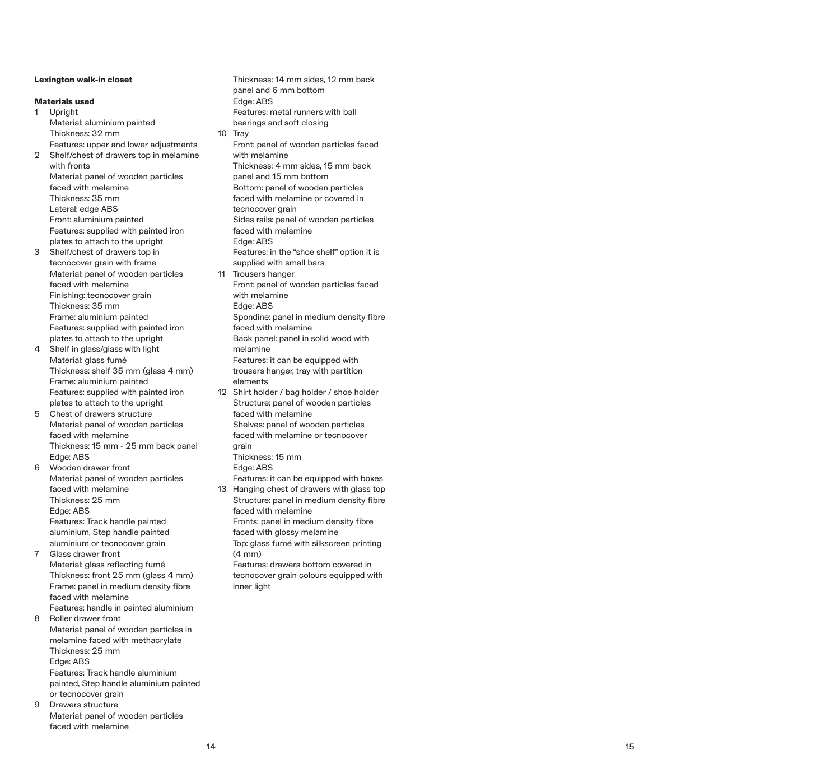# **Lexington walk-in closet**

# **Materials used**

1 Upright Material: aluminium painted Thickness: 32 mm Features: upper and lower adjustments 2 Shelf/chest of drawers top in melamine with fronts Material: panel of wooden particles faced with melamine Thickness: 35 mm Lateral: edge ABS Front: aluminium painted Features: supplied with painted iron plates to attach to the upright

- 3 Shelf/chest of drawers top in tecnocover grain with frame Material: panel of wooden particles faced with melamine Finishing: tecnocover grain Thickness: 35 mm Frame: aluminium painted Features: supplied with painted iron plates to attach to the upright
- 4 Shelf in glass/glass with light Material: glass fumé Thickness: shelf 35 mm (glass 4 mm) Frame: aluminium painted Features: supplied with painted iron plates to attach to the upright
- 5 Chest of drawers structure Material: panel of wooden particles faced with melamine Thickness: 15 mm - 25 mm back panel Edge: ABS

6 Wooden drawer front Material: panel of wooden particles faced with melamine Thickness: 25 mm Edge: ABS Features: Track handle painted aluminium, Step handle painted aluminium or tecnocover grain 7 Glass drawer front

Material: glass reflecting fumé Thickness: front 25 mm (glass 4 mm) Frame: panel in medium density fibre faced with melamine Features: handle in painted aluminium

8 Roller drawer front Material: panel of wooden particles in melamine faced with methacrylate Thickness: 25 mm Edge: ABS Features: Track handle aluminium painted, Step handle aluminium painted

or tecnocover grain 9 Drawers structure Material: panel of wooden particles faced with melamine

Thickness: 14 mm sides, 12 mm back panel and 6 mm bottom Edge: ABS Features: metal runners with ball bearings and soft closing 10 Tray Front: panel of wooden particles faced with melamine Thickness: 4 mm sides, 15 mm back panel and 15 mm bottom Bottom: panel of wooden particles faced with melamine or covered in tecnocover grain Sides rails: panel of wooden particles faced with melamine Edge: ABS Features: in the "shoe shelf" option it is supplied with small bars 11 Trousers hanger Front: panel of wooden particles faced with melamine Edge: ABS Spondine: panel in medium density fibre faced with melamine Back panel: panel in solid wood with melamine Features: it can be equipped with trousers hanger, tray with partition elements 12 Shirt holder / bag holder / shoe holder Structure: panel of wooden particles faced with melamine Shelves: panel of wooden particles faced with melamine or tecnocover grain Thickness: 15 mm Edge: ABS Features: it can be equipped with boxes 13 Hanging chest of drawers with glass top Structure: panel in medium density fibre faced with melamine Fronts: panel in medium density fibre faced with glossy melamine Top: glass fumé with silkscreen printing

(4 mm) Features: drawers bottom covered in tecnocover grain colours equipped with inner light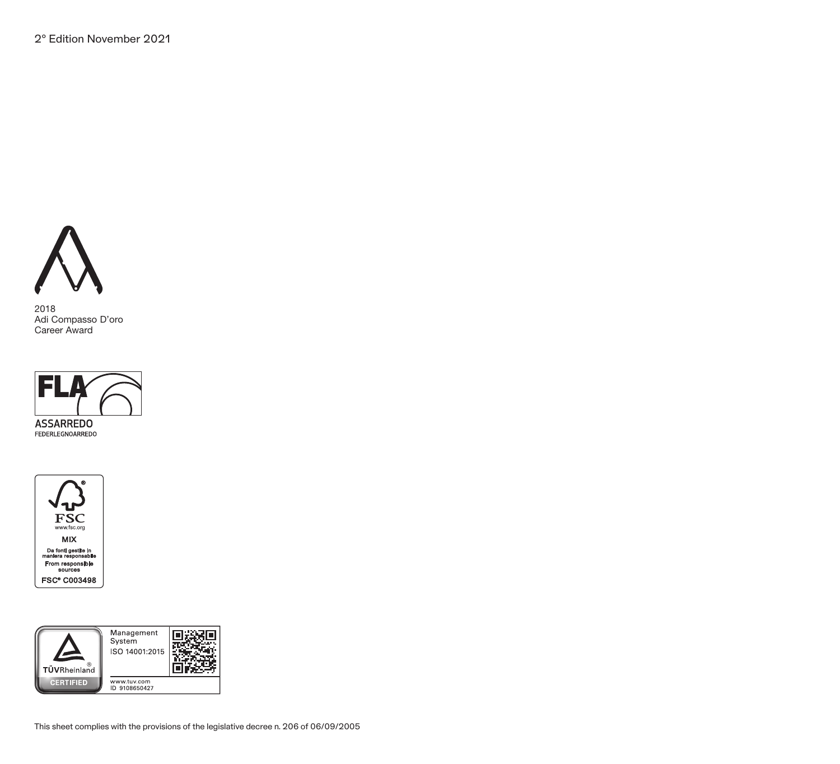

2018 Adi Compasso D'oro Career Award



**FEDERLEGNOARREDO**